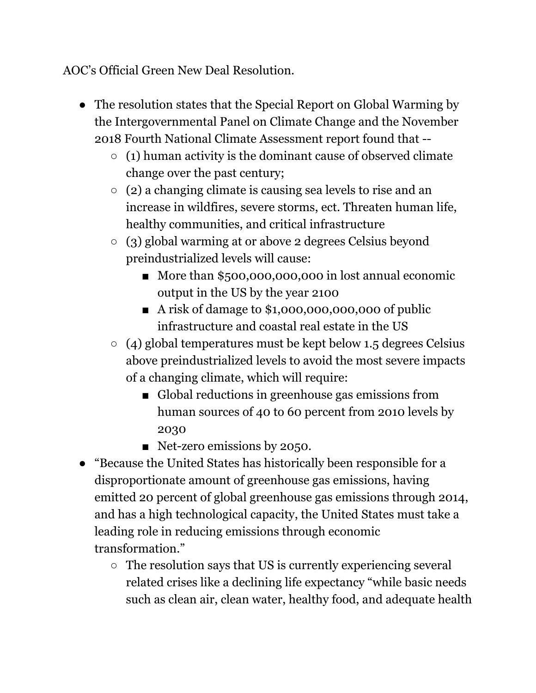AOC's Official Green New Deal Resolution.

- The resolution states that the Special Report on Global Warming by the Intergovernmental Panel on Climate Change and the November 2018 Fourth National Climate Assessment report found that --
	- $\circ$  (1) human activity is the dominant cause of observed climate change over the past century;
	- $\circ$  (2) a changing climate is causing sea levels to rise and an increase in wildfires, severe storms, ect. Threaten human life, healthy communities, and critical infrastructure
	- (3) global warming at or above 2 degrees Celsius beyond preindustrialized levels will cause:
		- More than \$500,000,000,000 in lost annual economic output in the US by the year 2100
		- A risk of damage to \$1,000,000,000,000 of public infrastructure and coastal real estate in the US
	- $\circ$  (4) global temperatures must be kept below 1.5 degrees Celsius above preindustrialized levels to avoid the most severe impacts of a changing climate, which will require:
		- Global reductions in greenhouse gas emissions from human sources of 40 to 60 percent from 2010 levels by 2030
		- Net-zero emissions by 2050.
- "Because the United States has historically been responsible for a disproportionate amount of greenhouse gas emissions, having emitted 20 percent of global greenhouse gas emissions through 2014, and has a high technological capacity, the United States must take a leading role in reducing emissions through economic transformation."
	- The resolution says that US is currently experiencing several related crises like a declining life expectancy "while basic needs such as clean air, clean water, healthy food, and adequate health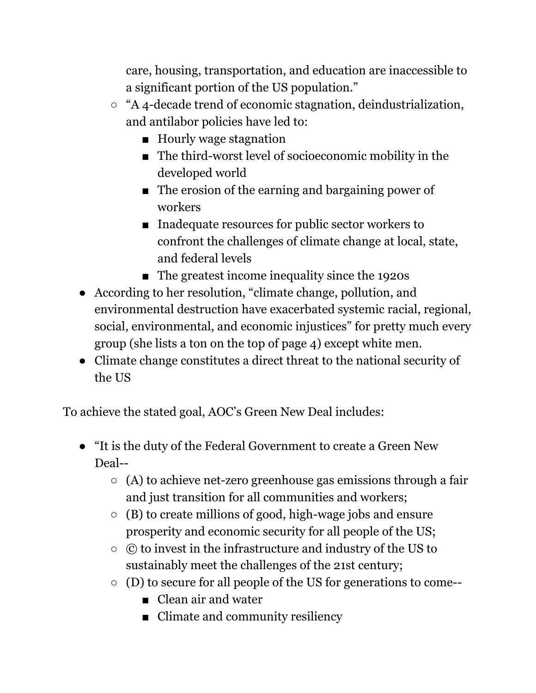care, housing, transportation, and education are inaccessible to a significant portion of the US population."

- "A 4-decade trend of economic stagnation, deindustrialization, and antilabor policies have led to:
	- Hourly wage stagnation
	- The third-worst level of socioeconomic mobility in the developed world
	- The erosion of the earning and bargaining power of workers
	- Inadequate resources for public sector workers to confront the challenges of climate change at local, state, and federal levels
	- The greatest income inequality since the 1920s
- According to her resolution, "climate change, pollution, and environmental destruction have exacerbated systemic racial, regional, social, environmental, and economic injustices" for pretty much every group (she lists a ton on the top of page 4) except white men.
- Climate change constitutes a direct threat to the national security of the US

To achieve the stated goal, AOC's Green New Deal includes:

- "It is the duty of the Federal Government to create a Green New Deal--
	- $\circ$  (A) to achieve net-zero greenhouse gas emissions through a fair and just transition for all communities and workers;
	- $\circ$  (B) to create millions of good, high-wage jobs and ensure prosperity and economic security for all people of the US;
	- © to invest in the infrastructure and industry of the US to sustainably meet the challenges of the 21st century;
	- (D) to secure for all people of the US for generations to come--
		- Clean air and water
		- Climate and community resiliency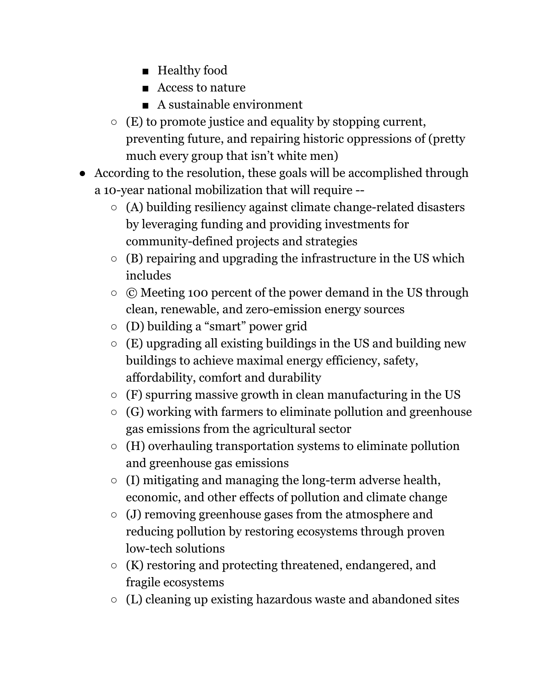- Healthy food
- Access to nature
- A sustainable environment
- $\circ$  (E) to promote justice and equality by stopping current, preventing future, and repairing historic oppressions of (pretty much every group that isn't white men)
- According to the resolution, these goals will be accomplished through a 10-year national mobilization that will require --
	- $\circ$  (A) building resiliency against climate change-related disasters by leveraging funding and providing investments for community-defined projects and strategies
	- $\circ$  (B) repairing and upgrading the infrastructure in the US which includes
	- © Meeting 100 percent of the power demand in the US through clean, renewable, and zero-emission energy sources
	- (D) building a "smart" power grid
	- $\circ$  (E) upgrading all existing buildings in the US and building new buildings to achieve maximal energy efficiency, safety, affordability, comfort and durability
	- $\circ$  (F) spurring massive growth in clean manufacturing in the US
	- $\circ$  (G) working with farmers to eliminate pollution and greenhouse gas emissions from the agricultural sector
	- $\circ$  (H) overhauling transportation systems to eliminate pollution and greenhouse gas emissions
	- (I) mitigating and managing the long-term adverse health, economic, and other effects of pollution and climate change
	- (J) removing greenhouse gases from the atmosphere and reducing pollution by restoring ecosystems through proven low-tech solutions
	- (K) restoring and protecting threatened, endangered, and fragile ecosystems
	- (L) cleaning up existing hazardous waste and abandoned sites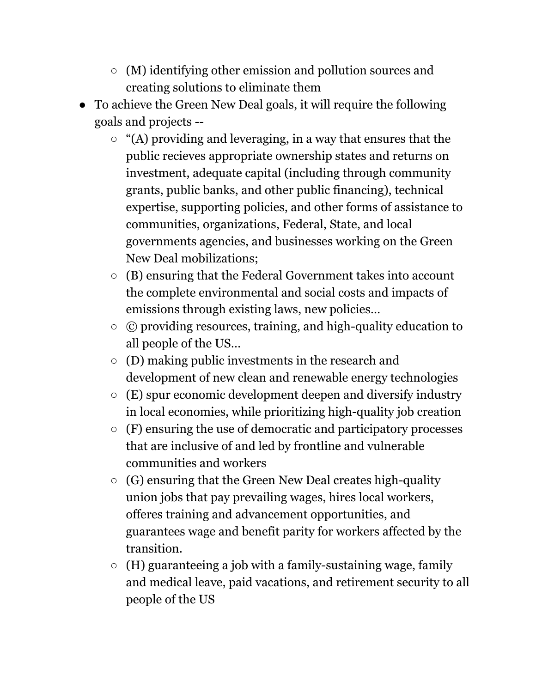- (M) identifying other emission and pollution sources and creating solutions to eliminate them
- To achieve the Green New Deal goals, it will require the following goals and projects --
	- $\circ$  "(A) providing and leveraging, in a way that ensures that the public recieves appropriate ownership states and returns on investment, adequate capital (including through community grants, public banks, and other public financing), technical expertise, supporting policies, and other forms of assistance to communities, organizations, Federal, State, and local governments agencies, and businesses working on the Green New Deal mobilizations;
	- (B) ensuring that the Federal Government takes into account the complete environmental and social costs and impacts of emissions through existing laws, new policies…
	- © providing resources, training, and high-quality education to all people of the US…
	- $\circ$  (D) making public investments in the research and development of new clean and renewable energy technologies
	- $\circ$  (E) spur economic development deepen and diversify industry in local economies, while prioritizing high-quality job creation
	- (F) ensuring the use of democratic and participatory processes that are inclusive of and led by frontline and vulnerable communities and workers
	- $\circ$  (G) ensuring that the Green New Deal creates high-quality union jobs that pay prevailing wages, hires local workers, offeres training and advancement opportunities, and guarantees wage and benefit parity for workers affected by the transition.
	- $\circ$  (H) guaranteeing a job with a family-sustaining wage, family and medical leave, paid vacations, and retirement security to all people of the US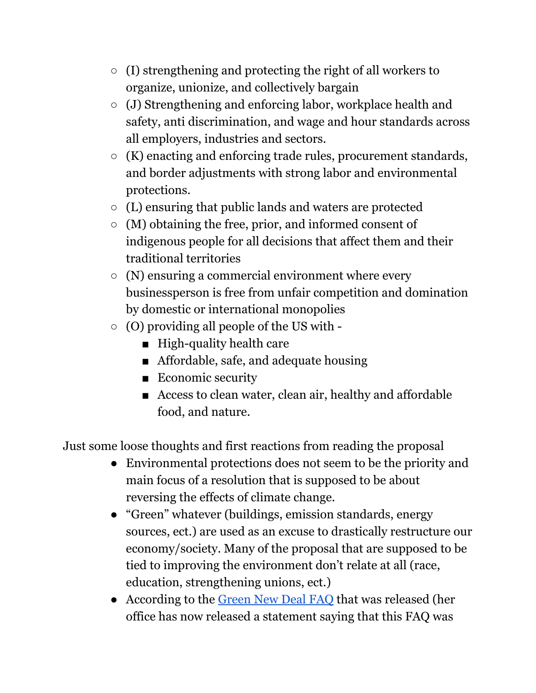- (I) strengthening and protecting the right of all workers to organize, unionize, and collectively bargain
- (J) Strengthening and enforcing labor, workplace health and safety, anti discrimination, and wage and hour standards across all employers, industries and sectors.
- (K) enacting and enforcing trade rules, procurement standards, and border adjustments with strong labor and environmental protections.
- (L) ensuring that public lands and waters are protected
- $\circ$  (M) obtaining the free, prior, and informed consent of indigenous people for all decisions that affect them and their traditional territories
- $\circ$  (N) ensuring a commercial environment where every businessperson is free from unfair competition and domination by domestic or international monopolies
- $\circ$  (O) providing all people of the US with -
	- High-quality health care
	- Affordable, safe, and adequate housing
	- Economic security
	- Access to clean water, clean air, healthy and affordable food, and nature.

Just some loose thoughts and first reactions from reading the proposal

- Environmental protections does not seem to be the priority and main focus of a resolution that is supposed to be about reversing the effects of climate change.
- "Green" whatever (buildings, emission standards, energy sources, ect.) are used as an excuse to drastically restructure our economy/society. Many of the proposal that are supposed to be tied to improving the environment don't relate at all (race, education, strengthening unions, ect.)
- According to the [Green](https://apps.npr.org/documents/document.html?id=5729035-Green-New-Deal-FAQ) New Deal FAQ that was released (her office has now released a statement saying that this FAQ was